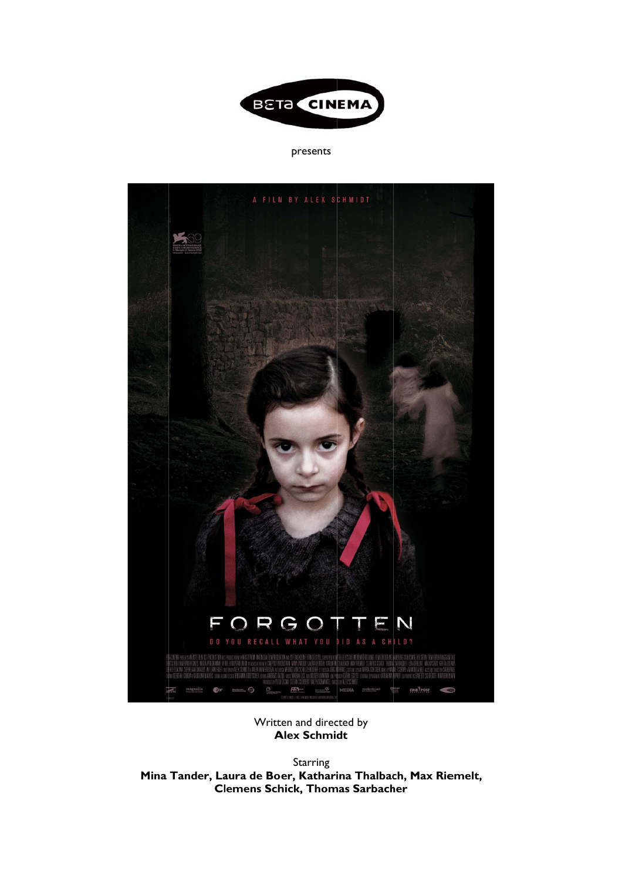

presents



Written and directed by **Alex Schmidt** 

Mina Tander, Laura de Boer, Katharina Thalbach, Max Riemelt, **Cl lemens Sch hick, Thom mas Sarbach er Starring**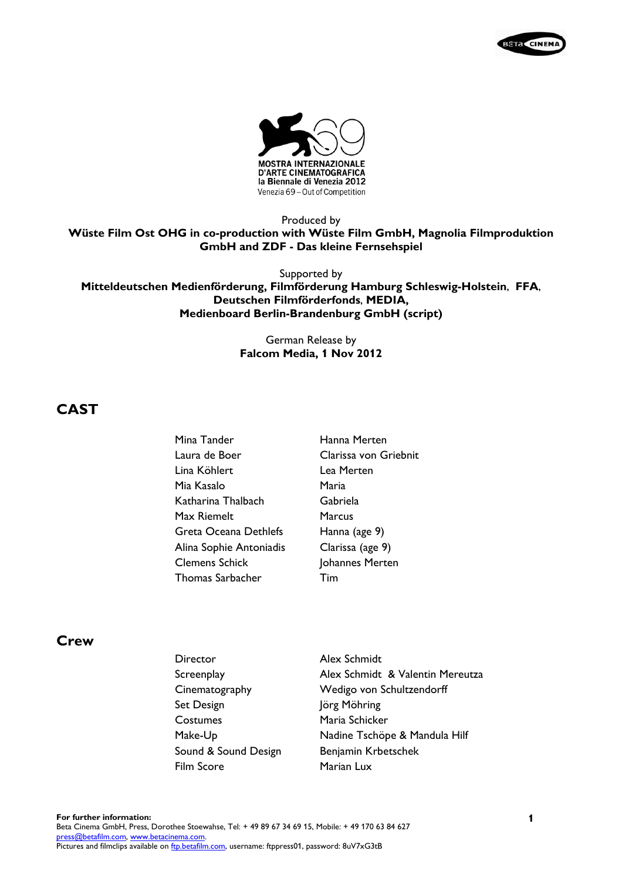



Produced by **Wüste Film Ost OHG in co-production with Wüste Film GmbH, Magnolia Filmproduktion GmbH and ZDF - Das kleine Fernsehspiel** 

Supported by

**Mitteldeutschen Medienförderung, Filmförderung Hamburg Schleswig-Holstein**, **FFA**, **Deutschen Filmförderfonds**, **MEDIA, Medienboard Berlin-Brandenburg GmbH (script)** 

> German Release by **Falcom Media, 1 Nov 2012**

# **CAST**

| Mina Tander             | Hanna Merten          |
|-------------------------|-----------------------|
| Laura de Boer           | Clarissa von Griebnit |
| Lina Köhlert            | Lea Merten            |
| Mia Kasalo              | Maria                 |
| Katharina Thalbach      | Gabriela              |
| Max Riemelt             | Marcus                |
| Greta Oceana Dethlefs   | Hanna (age 9)         |
| Alina Sophie Antoniadis | Clarissa (age 9)      |
| <b>Clemens Schick</b>   | Johannes Merten       |
| <b>Thomas Sarbacher</b> | Tim                   |

## **Crew**

Director Alex Schmidt Cinematography Wedigo von Schultzendorff Set Design Jörg Möhring Costumes Maria Schicker Sound & Sound Design Benjamin Krbetschek Film Score Marian Lux

Screenplay **Alex Schmidt & Valentin Mereutza** Make-Up Nadine Tschöpe & Mandula Hilf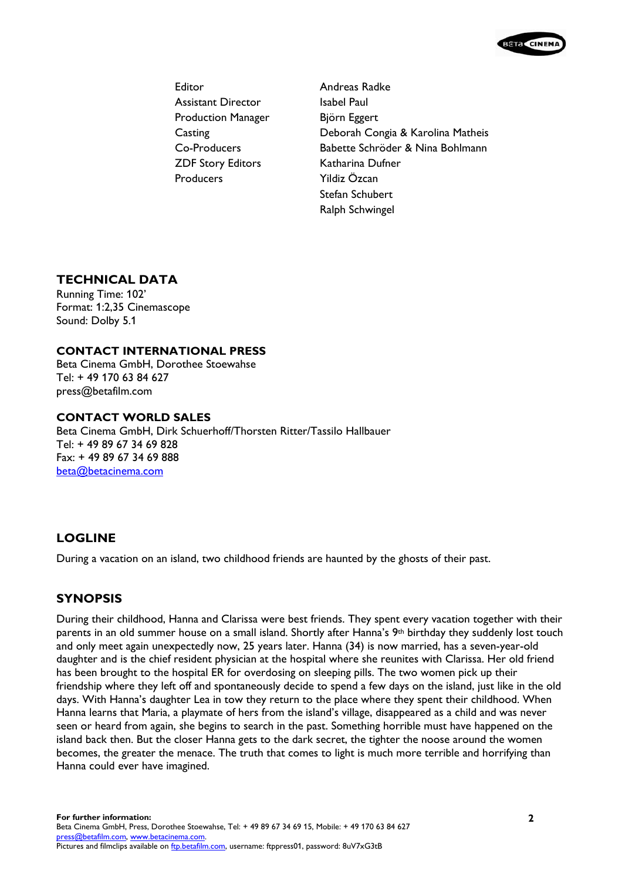

Editor **Andreas Radke** Assistant Director Isabel Paul Production Manager Björn Eggert ZDF Story Editors Katharina Dufner Producers Yildiz Özcan

Casting Deborah Congia & Karolina Matheis Co-Producers Babette Schröder & Nina Bohlmann Stefan Schubert Ralph Schwingel

# **TECHNICAL DATA**

Running Time: 102' Format: 1:2,35 Cinemascope Sound: Dolby 5.1

## **CONTACT INTERNATIONAL PRESS**

Beta Cinema GmbH, Dorothee Stoewahse Tel: + 49 170 63 84 627 press@betafilm.com

### **CONTACT WORLD SALES**

Beta Cinema GmbH, Dirk Schuerhoff/Thorsten Ritter/Tassilo Hallbauer Tel: + 49 89 67 34 69 828 Fax: + 49 89 67 34 69 888 beta@betacinema.com

# **LOGLINE**

During a vacation on an island, two childhood friends are haunted by the ghosts of their past.

# **SYNOPSIS**

During their childhood, Hanna and Clarissa were best friends. They spent every vacation together with their parents in an old summer house on a small island. Shortly after Hanna's 9th birthday they suddenly lost touch and only meet again unexpectedly now, 25 years later. Hanna (34) is now married, has a seven-year-old daughter and is the chief resident physician at the hospital where she reunites with Clarissa. Her old friend has been brought to the hospital ER for overdosing on sleeping pills. The two women pick up their friendship where they left off and spontaneously decide to spend a few days on the island, just like in the old days. With Hanna's daughter Lea in tow they return to the place where they spent their childhood. When Hanna learns that Maria, a playmate of hers from the island's village, disappeared as a child and was never seen or heard from again, she begins to search in the past. Something horrible must have happened on the island back then. But the closer Hanna gets to the dark secret, the tighter the noose around the women becomes, the greater the menace. The truth that comes to light is much more terrible and horrifying than Hanna could ever have imagined.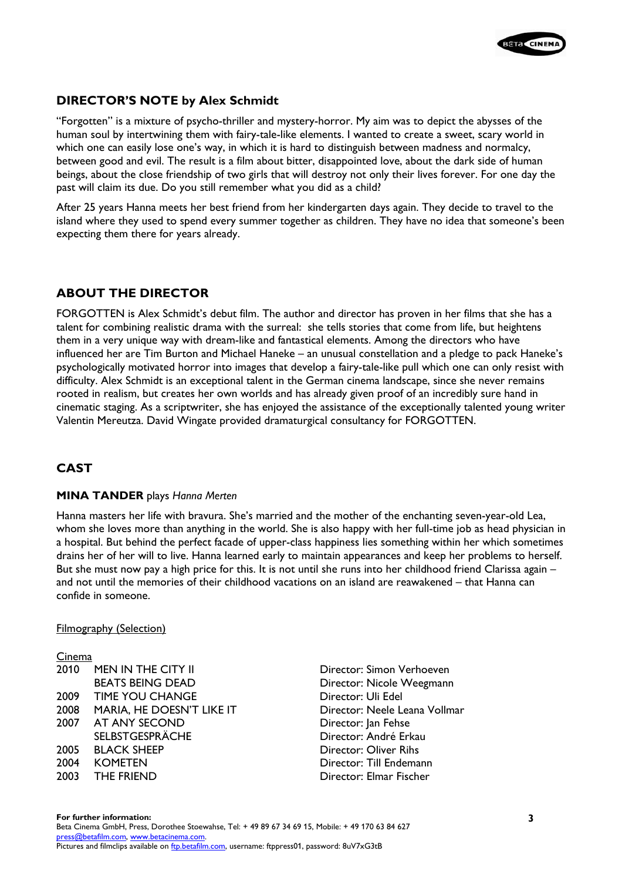

# **DIRECTOR'S NOTE by Alex Schmidt**

"Forgotten" is a mixture of psycho-thriller and mystery-horror. My aim was to depict the abysses of the human soul by intertwining them with fairy-tale-like elements. I wanted to create a sweet, scary world in which one can easily lose one's way, in which it is hard to distinguish between madness and normalcy, between good and evil. The result is a film about bitter, disappointed love, about the dark side of human beings, about the close friendship of two girls that will destroy not only their lives forever. For one day the past will claim its due. Do you still remember what you did as a child?

After 25 years Hanna meets her best friend from her kindergarten days again. They decide to travel to the island where they used to spend every summer together as children. They have no idea that someone's been expecting them there for years already.

# **ABOUT THE DIRECTOR**

FORGOTTEN is Alex Schmidt's debut film. The author and director has proven in her films that she has a talent for combining realistic drama with the surreal: she tells stories that come from life, but heightens them in a very unique way with dream-like and fantastical elements. Among the directors who have influenced her are Tim Burton and Michael Haneke – an unusual constellation and a pledge to pack Haneke's psychologically motivated horror into images that develop a fairy-tale-like pull which one can only resist with difficulty. Alex Schmidt is an exceptional talent in the German cinema landscape, since she never remains rooted in realism, but creates her own worlds and has already given proof of an incredibly sure hand in cinematic staging. As a scriptwriter, she has enjoyed the assistance of the exceptionally talented young writer Valentin Mereutza. David Wingate provided dramaturgical consultancy for FORGOTTEN.

# **CAST**

### **MINA TANDER** plays *Hanna Merten*

Hanna masters her life with bravura. She's married and the mother of the enchanting seven-year-old Lea, whom she loves more than anything in the world. She is also happy with her full-time job as head physician in a hospital. But behind the perfect facade of upper-class happiness lies something within her which sometimes drains her of her will to live. Hanna learned early to maintain appearances and keep her problems to herself. But she must now pay a high price for this. It is not until she runs into her childhood friend Clarissa again – and not until the memories of their childhood vacations on an island are reawakened – that Hanna can confide in someone.

### Filmography (Selection)

### Cinema

| 2010 | <b>MEN IN THE CITY II</b> |
|------|---------------------------|
|      | <b>BEATS BEING DEAD</b>   |
| 2009 | <b>TIME YOU CHANGE</b>    |
| 2008 | MARIA, HE DOESN'T LIKE IT |
| 2007 | AT ANY SECOND             |
|      | <b>SELBSTGESPRÄCHE</b>    |
| 2005 | <b>BLACK SHEEP</b>        |
| 2004 | <b>KOMETEN</b>            |
| 2003 | <b>THE FRIEND</b>         |
|      |                           |

Director: Simon Verhoeven Director: Nicole Weegmann Director: Uli Edel Director: Neele Leana Vollmar Director: Jan Fehse Director: André Erkau Director: Oliver Rihs Director: Till Endemann Director: Flmar Fischer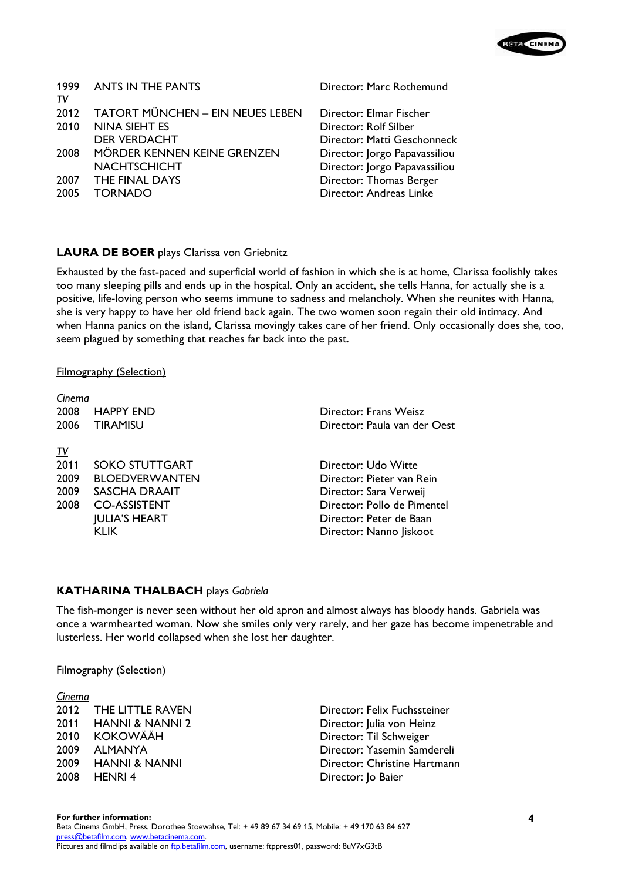| 1999 -    | <b>ANTS IN THE PANTS</b>                |
|-----------|-----------------------------------------|
| <u>TV</u> |                                         |
| 2012      | <b>TATORT MÜNCHEN - EIN NEUES LEBEN</b> |
| 2010      | NINA SIEHT ES                           |
|           | <b>DER VERDACHT</b>                     |
| 2008      | MÖRDER KENNEN KEINE GRENZEN             |
|           | <b>NACHTSCHICHT</b>                     |
|           | 2007 THE FINAL DAYS                     |
| 2005      | TORNADO                                 |
|           |                                         |

Director: Marc Rothemund

Director: Flmar Fischer Director: Rolf Silber Director: Matti Geschonneck Director: Jorgo Papavassiliou Director: Jorgo Papavassiliou Director: Thomas Berger Director: Andreas Linke

## **LAURA DE BOER** plays Clarissa von Griebnitz

Exhausted by the fast-paced and superficial world of fashion in which she is at home, Clarissa foolishly takes too many sleeping pills and ends up in the hospital. Only an accident, she tells Hanna, for actually she is a positive, life-loving person who seems immune to sadness and melancholy. When she reunites with Hanna, she is very happy to have her old friend back again. The two women soon regain their old intimacy. And when Hanna panics on the island, Clarissa movingly takes care of her friend. Only occasionally does she, too, seem plagued by something that reaches far back into the past.

### Filmography (Selection)

| Cinema    |                       |                              |
|-----------|-----------------------|------------------------------|
| 2008      | <b>HAPPY END</b>      | Director: Frans Weisz        |
| 2006      | <b>TIRAMISU</b>       | Director: Paula van der Oest |
|           |                       |                              |
| <u>TV</u> |                       |                              |
| 2011      | <b>SOKO STUTTGART</b> | Director: Udo Witte          |
| 2009      | <b>BLOEDVERWANTEN</b> | Director: Pieter van Rein    |
| 2009      | SASCHA DRAAIT         | Director: Sara Verweij       |
| 2008      | <b>CO-ASSISTENT</b>   | Director: Pollo de Pimentel  |
|           | <b>JULIA'S HEART</b>  | Director: Peter de Baan      |
|           | KLIK                  | Director: Nanno Jiskoot      |
|           |                       |                              |

## **KATHARINA THALBACH** plays *Gabriela*

The fish-monger is never seen without her old apron and almost always has bloody hands. Gabriela was once a warmhearted woman. Now she smiles only very rarely, and her gaze has become impenetrable and lusterless. Her world collapsed when she lost her daughter.

### Filmography (Selection)

| <u>Cinema</u> |                          |
|---------------|--------------------------|
| 2012          | <b>THE LITTLE RAVEN</b>  |
| 2011          | HANNI & NANNI 2          |
| 2010          | <b>KOKOWÄÄH</b>          |
| 2009          | <b>ALMANYA</b>           |
| 2009          | <b>HANNI &amp; NANNI</b> |
| 2008          | <b>HENRI4</b>            |

Director: Felix Fuchssteiner Director: Julia von Heinz Director: Til Schweiger Director: Yasemin Samdereli Director: Christine Hartmann Director: Jo Baier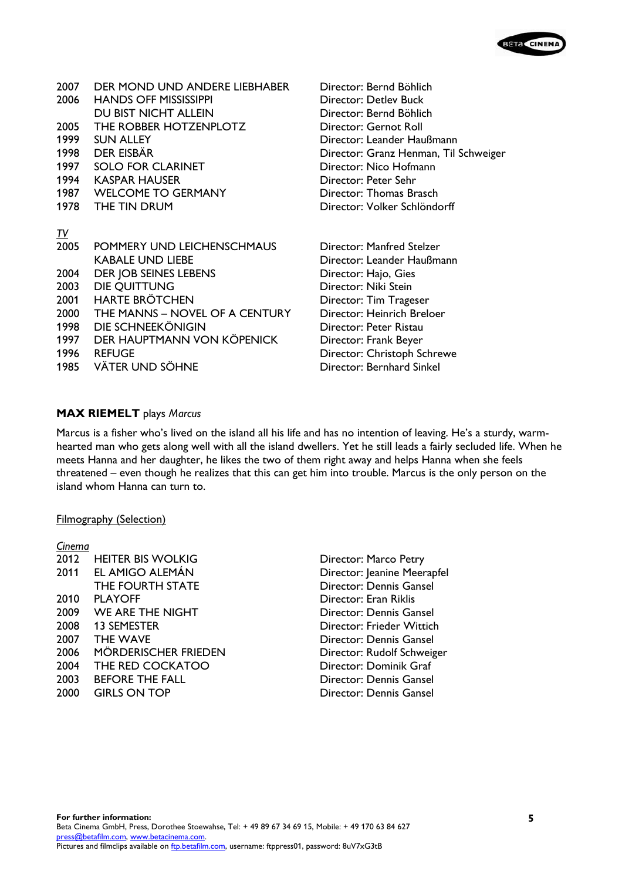

| 2007<br>2006      | DER MOND UND ANDERE LIEBHABER<br><b>HANDS OFF MISSISSIPPI</b> | Director: Bernd Böhlich<br>Director: Detlev Buck |
|-------------------|---------------------------------------------------------------|--------------------------------------------------|
| 2005              | DU BIST NICHT ALLEIN<br>THE ROBBER HOTZENPLOTZ                | Director: Bernd Böhlich<br>Director: Gernot Roll |
| 1999              | <b>SUN ALLEY</b>                                              | Director: Leander Haußmann                       |
|                   | 1998 DER EISBÄR                                               | Director: Granz Henman, Til Schweiger            |
|                   | 1997 SOLO FOR CLARINET                                        | Director: Nico Hofmann                           |
|                   | 1994 KASPAR HAUSER                                            | Director: Peter Sehr                             |
|                   | 1987 WELCOME TO GERMANY                                       | Director: Thomas Brasch                          |
|                   | 1978 THE TIN DRUM                                             | Director: Volker Schlöndorff                     |
|                   |                                                               |                                                  |
| <u>IV</u><br>2005 | POMMERY UND LEICHENSCHMAUS                                    | Director: Manfred Stelzer                        |
|                   | <b>KABALE UND LIEBE</b>                                       | Director: Leander Haußmann                       |
| 2004              | DER JOB SEINES LEBENS                                         | Director: Hajo, Gies                             |
| 2003              | DIE QUITTUNG                                                  | Director: Niki Stein                             |
| 2001              | <b>HARTE BRÖTCHEN</b>                                         | Director: Tim Trageser                           |
| 2000              | THE MANNS - NOVEL OF A CENTURY                                | Director: Heinrich Breloer                       |
| 1998              | DIE SCHNEEKÖNIGIN                                             | Director: Peter Ristau                           |
| 1997              | DER HAUPTMANN VON KÖPENICK                                    | Director: Frank Beyer                            |
| 1996              | <b>REFUGE</b>                                                 | Director: Christoph Schrewe                      |
| 1985              | <b>VÄTER UND SÖHNE</b>                                        | Director: Bernhard Sinkel                        |
|                   |                                                               |                                                  |

### **MAX RIEMELT** plays *Marcus*

Marcus is a fisher who's lived on the island all his life and has no intention of leaving. He's a sturdy, warmhearted man who gets along well with all the island dwellers. Yet he still leads a fairly secluded life. When he meets Hanna and her daughter, he likes the two of them right away and helps Hanna when she feels threatened – even though he realizes that this can get him into trouble. Marcus is the only person on the island whom Hanna can turn to.

### Filmography (Selection)

| Cinema |                             |
|--------|-----------------------------|
| 2012   | <b>HEITER BIS WOLKIG</b>    |
| 2011   | EL AMIGO ALEMÁN             |
|        | THE FOURTH STATE            |
| 2010   | <b>PLAYOFF</b>              |
| 2009   | WE ARE THE NIGHT            |
| 2008   | <b>13 SEMESTER</b>          |
| 2007   | <b>THE WAVE</b>             |
| 2006   | <b>MÖRDERISCHER FRIEDEN</b> |
| 2004   | THE RED COCKATOO            |
| 2003   | <b>BEFORE THE FALL</b>      |
| 2000   | <b>GIRLS ON TOP</b>         |

Director: Marco Petry Director: Jeanine Meerapfel Director: Dennis Gansel Director: Eran Riklis Director: Dennis Gansel Director: Frieder Wittich Director: Dennis Gansel Director: Rudolf Schweiger Director: Dominik Graf Director: Dennis Gansel Director: Dennis Gansel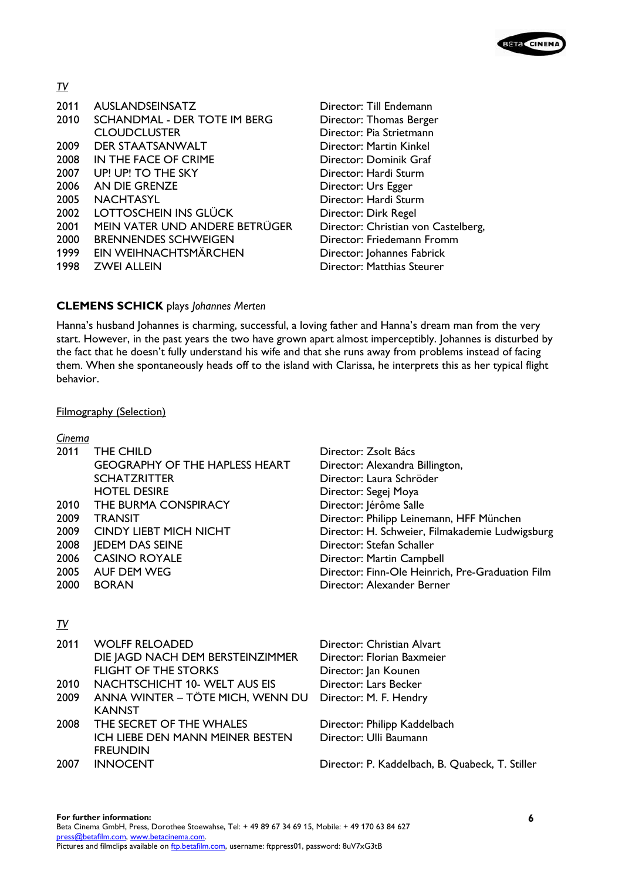

*TV* 

| 2011 | <b>AUSLANDSEINSATZ</b>         |
|------|--------------------------------|
| 2010 | SCHANDMAL - DER TOTE IM BERG   |
|      | <b>CLOUDCLUSTER</b>            |
| 2009 | DER STAATSANWALT               |
| 2008 | IN THE FACE OF CRIME           |
| 2007 | UP! UP! TO THE SKY             |
| 2006 | AN DIE GRENZE                  |
| 2005 | NACHTASYL                      |
| 2002 | LOTTOSCHEIN INS GLÜCK          |
| 2001 | MEIN VATER UND ANDERE BETRÜGER |
| 2000 | <b>BRENNENDES SCHWEIGEN</b>    |
| 1999 | EIN WEIHNACHTSMÄRCHEN          |
| 1998 | <b>ZWEI ALLEIN</b>             |

Director: Till Endemann Director: Thomas Berger Director: Pia Strietmann Director: Martin Kinkel Director: Dominik Graf Director: Hardi Sturm Director: Urs Egger Director: Hardi Sturm Director: Dirk Regel Director: Christian von Castelberg, Director: Friedemann Fromm Director: Johannes Fabrick Director: Matthias Steurer

### **CLEMENS SCHICK** plays *Johannes Merten*

Hanna's husband Johannes is charming, successful, a loving father and Hanna's dream man from the very start. However, in the past years the two have grown apart almost imperceptibly. Johannes is disturbed by the fact that he doesn't fully understand his wife and that she runs away from problems instead of facing them. When she spontaneously heads off to the island with Clarissa, he interprets this as her typical flight behavior.

#### Filmography (Selection)

| <u>Cinema</u> |                                       |                                                  |
|---------------|---------------------------------------|--------------------------------------------------|
| 2011          | THE CHILD                             | Director: Zsolt Bács                             |
|               | <b>GEOGRAPHY OF THE HAPLESS HEART</b> | Director: Alexandra Billington,                  |
|               | <b>SCHATZRITTER</b>                   | Director: Laura Schröder                         |
|               | <b>HOTEL DESIRE</b>                   | Director: Segej Moya                             |
| 2010          | THE BURMA CONSPIRACY                  | Director: Jérôme Salle                           |
| 2009          | <b>TRANSIT</b>                        | Director: Philipp Leinemann, HFF München         |
| 2009          | <b>CINDY LIEBT MICH NICHT</b>         | Director: H. Schweier, Filmakademie Ludwigsburg  |
| 2008          | <b>JEDEM DAS SEINE</b>                | Director: Stefan Schaller                        |
| 2006          | <b>CASINO ROYALE</b>                  | Director: Martin Campbell                        |
| 2005          | AUF DEM WEG                           | Director: Finn-Ole Heinrich, Pre-Graduation Film |
| 2000          | <b>BORAN</b>                          | Director: Alexander Berner                       |
|               |                                       |                                                  |
| <u>IV</u>     |                                       |                                                  |
|               |                                       |                                                  |
| 2011          | <b>WOLFF RELOADED</b>                 | Director: Christian Alvart                       |
|               | DIE JAGD NACH DEM BERSTEINZIMMER      | Director: Florian Baxmeier                       |
|               | <b>FLIGHT OF THE STORKS</b>           | Director: Jan Kounen                             |
| 2010          | NACHTSCHICHT 10- WELT AUS EIS         | Director: Lars Becker                            |
| 2009          | ANNA WINTER – TÖTE MICH, WENN DU      | Director: M. F. Hendry                           |
|               | <b>KANNST</b>                         |                                                  |
| 2008          | THE SECRET OF THE WHALES              | Director: Philipp Kaddelbach                     |
|               | ICH LIEBE DEN MANN MEINER BESTEN      | Director: Ulli Baumann                           |
|               | <b>FREUNDIN</b>                       |                                                  |

2007 INNOCENT Director: P. Kaddelbach, B. Quabeck, T. Stiller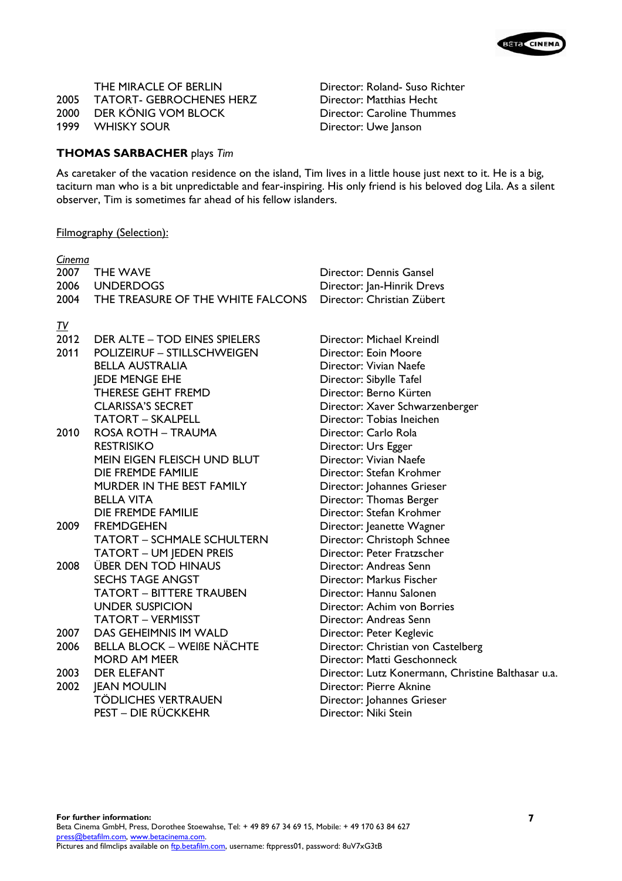2005 TATORT- GEBROCHENES HERZ 2000 DER KÖNIG VOM BLOCK Director: Caroline Thummes

1999 WHISKY SOUR Director: Uwe Janson

THE MIRACLE OF BERLIN<br>
TATORT- GEBROCHENES HERZ<br>
Director: Matthias Hecht<br>
Director: Matthias Hecht

## **THOMAS SARBACHER** plays *Tim*

As caretaker of the vacation residence on the island, Tim lives in a little house just next to it. He is a big, taciturn man who is a bit unpredictable and fear-inspiring. His only friend is his beloved dog Lila. As a silent observer, Tim is sometimes far ahead of his fellow islanders.

## Filmography (Selection):

| Cinema    |                                        |                                                    |
|-----------|----------------------------------------|----------------------------------------------------|
| 2007      | <b>THE WAVE</b>                        | Director: Dennis Gansel                            |
|           | 2006 UNDERDOGS                         | Director: Jan-Hinrik Drevs                         |
|           | 2004 THE TREASURE OF THE WHITE FALCONS | Director: Christian Zübert                         |
| <u>IV</u> |                                        |                                                    |
| 2012      | <b>DER ALTE - TOD EINES SPIELERS</b>   | Director: Michael Kreindl                          |
| 2011      | <b>POLIZEIRUF - STILLSCHWEIGEN</b>     | <b>Director: Eoin Moore</b>                        |
|           | <b>BELLA AUSTRALIA</b>                 | Director: Vivian Naefe                             |
|           | <b>JEDE MENGE EHE</b>                  | Director: Sibylle Tafel                            |
|           | THERESE GEHT FREMD                     | Director: Berno Kürten                             |
|           | <b>CLARISSA'S SECRET</b>               | Director: Xaver Schwarzenberger                    |
|           | <b>TATORT - SKALPELL</b>               | Director: Tobias Ineichen                          |
| 2010      | ROSA ROTH - TRAUMA                     | Director: Carlo Rola                               |
|           | <b>RESTRISIKO</b>                      | Director: Urs Egger                                |
|           | MEIN EIGEN FLEISCH UND BLUT            | Director: Vivian Naefe                             |
|           | <b>DIE FREMDE FAMILIE</b>              | Director: Stefan Krohmer                           |
|           | MURDER IN THE BEST FAMILY              | Director: Johannes Grieser                         |
|           | <b>BELLA VITA</b>                      | Director: Thomas Berger                            |
|           | <b>DIE FREMDE FAMILIE</b>              | Director: Stefan Krohmer                           |
| 2009      | <b>FREMDGEHEN</b>                      | Director: Jeanette Wagner                          |
|           | <b>TATORT - SCHMALE SCHULTERN</b>      | Director: Christoph Schnee                         |
|           | <b>TATORT - UM JEDEN PREIS</b>         | Director: Peter Fratzscher                         |
| 2008      | <b>ÜBER DEN TOD HINAUS</b>             | Director: Andreas Senn                             |
|           | <b>SECHS TAGE ANGST</b>                | Director: Markus Fischer                           |
|           | <b>TATORT - BITTERE TRAUBEN</b>        | Director: Hannu Salonen                            |
|           | <b>UNDER SUSPICION</b>                 | Director: Achim von Borries                        |
|           | <b>TATORT - VERMISST</b>               | Director: Andreas Senn                             |
| 2007      | DAS GEHEIMNIS IM WALD                  | Director: Peter Keglevic                           |
| 2006      | <b>BELLA BLOCK - WEIBE NÄCHTE</b>      | Director: Christian von Castelberg                 |
|           | <b>MORD AM MEER</b>                    | Director: Matti Geschonneck                        |
| 2003      | <b>DER ELEFANT</b>                     | Director: Lutz Konermann, Christine Balthasar u.a. |
| 2002      | <b>JEAN MOULIN</b>                     | Director: Pierre Aknine                            |
|           | <b>TÖDLICHES VERTRAUEN</b>             | Director: Johannes Grieser                         |
|           | PEST - DIE RÜCKKEHR                    | Director: Niki Stein                               |
|           |                                        |                                                    |